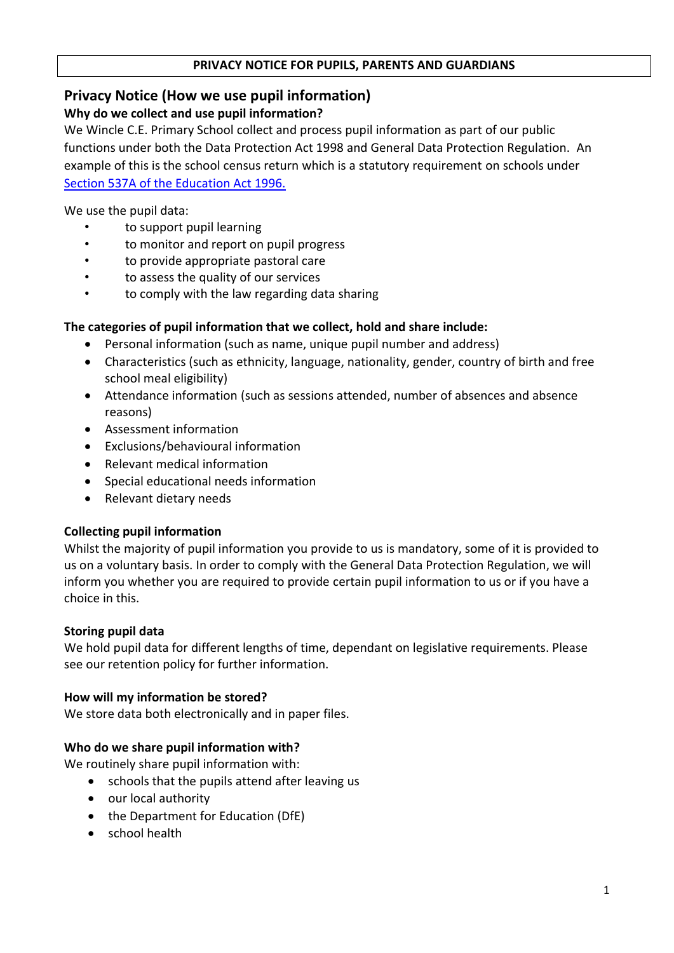#### **PRIVACY NOTICE FOR PUPILS, PARENTS AND GUARDIANS**

## **Privacy Notice (How we use pupil information)**

#### **Why do we collect and use pupil information?**

We Wincle C.E. Primary School collect and process pupil information as part of our public functions under both the Data Protection Act 1998 and General Data Protection Regulation. An example of this is the school census return which is a statutory requirement on schools under [Section 537A of the Education Act 1996.](http://www.legislation.gov.uk/ukpga/1996/56/section/537A)

We use the pupil data:

- to support pupil learning
- to monitor and report on pupil progress
- to provide appropriate pastoral care
- to assess the quality of our services
- to comply with the law regarding data sharing

# **The categories of pupil information that we collect, hold and share include:**

- Personal information (such as name, unique pupil number and address)
- Characteristics (such as ethnicity, language, nationality, gender, country of birth and free school meal eligibility)
- Attendance information (such as sessions attended, number of absences and absence reasons)
- Assessment information
- Exclusions/behavioural information
- Relevant medical information
- Special educational needs information
- Relevant dietary needs

## **Collecting pupil information**

Whilst the majority of pupil information you provide to us is mandatory, some of it is provided to us on a voluntary basis. In order to comply with the General Data Protection Regulation, we will inform you whether you are required to provide certain pupil information to us or if you have a choice in this.

## **Storing pupil data**

We hold pupil data for different lengths of time, dependant on legislative requirements. Please see our retention policy for further information.

## **How will my information be stored?**

We store data both electronically and in paper files.

## **Who do we share pupil information with?**

We routinely share pupil information with:

- schools that the pupils attend after leaving us
- our local authority
- the Department for Education (DfE)
- school health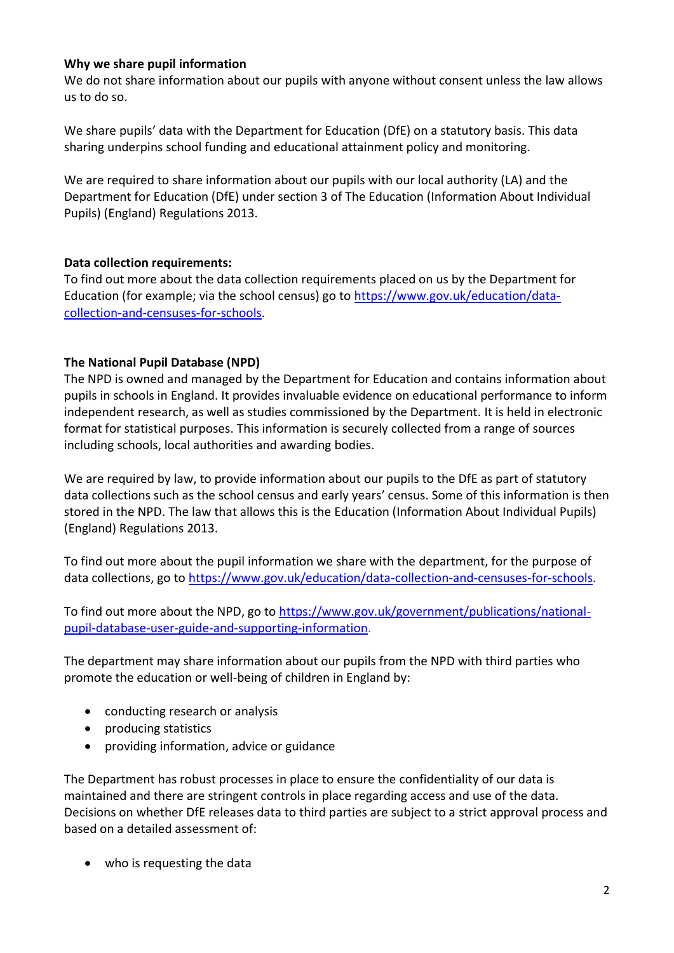#### **Why we share pupil information**

We do not share information about our pupils with anyone without consent unless the law allows us to do so.

We share pupils' data with the Department for Education (DfE) on a statutory basis. This data sharing underpins school funding and educational attainment policy and monitoring.

We are required to share information about our pupils with our local authority (LA) and the Department for Education (DfE) under section 3 of The Education (Information About Individual Pupils) (England) Regulations 2013.

#### **Data collection requirements:**

To find out more about the data collection requirements placed on us by the Department for Education (for example; via the school census) go to [https://www.gov.uk/education/data](https://www.gov.uk/education/data-collection-and-censuses-for-schools)[collection-and-censuses-for-schools.](https://www.gov.uk/education/data-collection-and-censuses-for-schools)

## **The National Pupil Database (NPD)**

The NPD is owned and managed by the Department for Education and contains information about pupils in schools in England. It provides invaluable evidence on educational performance to inform independent research, as well as studies commissioned by the Department. It is held in electronic format for statistical purposes. This information is securely collected from a range of sources including schools, local authorities and awarding bodies.

We are required by law, to provide information about our pupils to the DfE as part of statutory data collections such as the school census and early years' census. Some of this information is then stored in the NPD. The law that allows this is the Education (Information About Individual Pupils) (England) Regulations 2013.

To find out more about the pupil information we share with the department, for the purpose of data collections, go to [https://www.gov.uk/education/data-collection-and-censuses-for-schools.](https://www.gov.uk/education/data-collection-and-censuses-for-schools)

To find out more about the NPD, go to [https://www.gov.uk/government/publications/national](https://www.gov.uk/government/publications/national-pupil-database-user-guide-and-supporting-information)[pupil-database-user-guide-and-supporting-information.](https://www.gov.uk/government/publications/national-pupil-database-user-guide-and-supporting-information)

The department may share information about our pupils from the NPD with third parties who promote the education or well-being of children in England by:

- conducting research or analysis
- producing statistics
- providing information, advice or guidance

The Department has robust processes in place to ensure the confidentiality of our data is maintained and there are stringent controls in place regarding access and use of the data. Decisions on whether DfE releases data to third parties are subject to a strict approval process and based on a detailed assessment of:

• who is requesting the data